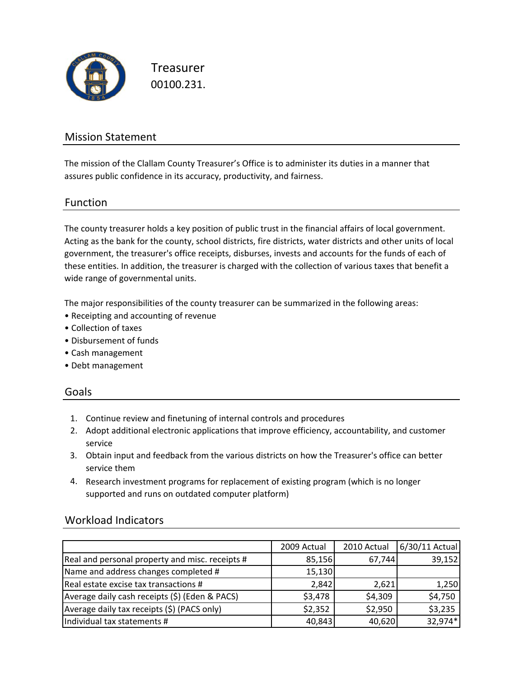

Treasurer 00100.231.

### Mission Statement

The mission of the Clallam County Treasurer's Office is to administer its duties in a manner that assures public confidence in its accuracy, productivity, and fairness.

### Function

The county treasurer holds a key position of public trust in the financial affairs of local government. Acting as the bank for the county, school districts, fire districts, water districts and other units of local government, the treasurer's office receipts, disburses, invests and accounts for the funds of each of these entities. In addition, the treasurer is charged with the collection of various taxes that benefit a wide range of governmental units.

The major responsibilities of the county treasurer can be summarized in the following areas:

- Receipting and accounting of revenue
- Collection of taxes
- Disbursement of funds
- Cash management
- Debt management

#### Goals

- 1. Continue review and finetuning of internal controls and procedures
- 2. Adopt additional electronic applications that improve efficiency, accountability, and customer service
- 3. Obtain input and feedback from the various districts on how the Treasurer's office can better service them
- 4. Research investment programs for replacement of existing program (which is no longer supported and runs on outdated computer platform)

|                                                 | 2009 Actual | 2010 Actual | 6/30/11 Actual |
|-------------------------------------------------|-------------|-------------|----------------|
| Real and personal property and misc. receipts # | 85,156      | 67,744      | 39,152         |
| Name and address changes completed #            | 15,130      |             |                |
| Real estate excise tax transactions #           | 2,842       | 2,621       | 1,250          |
| Average daily cash receipts (\$) (Eden & PACS)  | \$3,478     | \$4,309     | \$4,750        |
| Average daily tax receipts (\$) (PACS only)     | \$2,352     | \$2,950     | \$3,235        |
| Individual tax statements #                     | 40,843      | 40,620      | 32,974*        |

### Workload Indicators